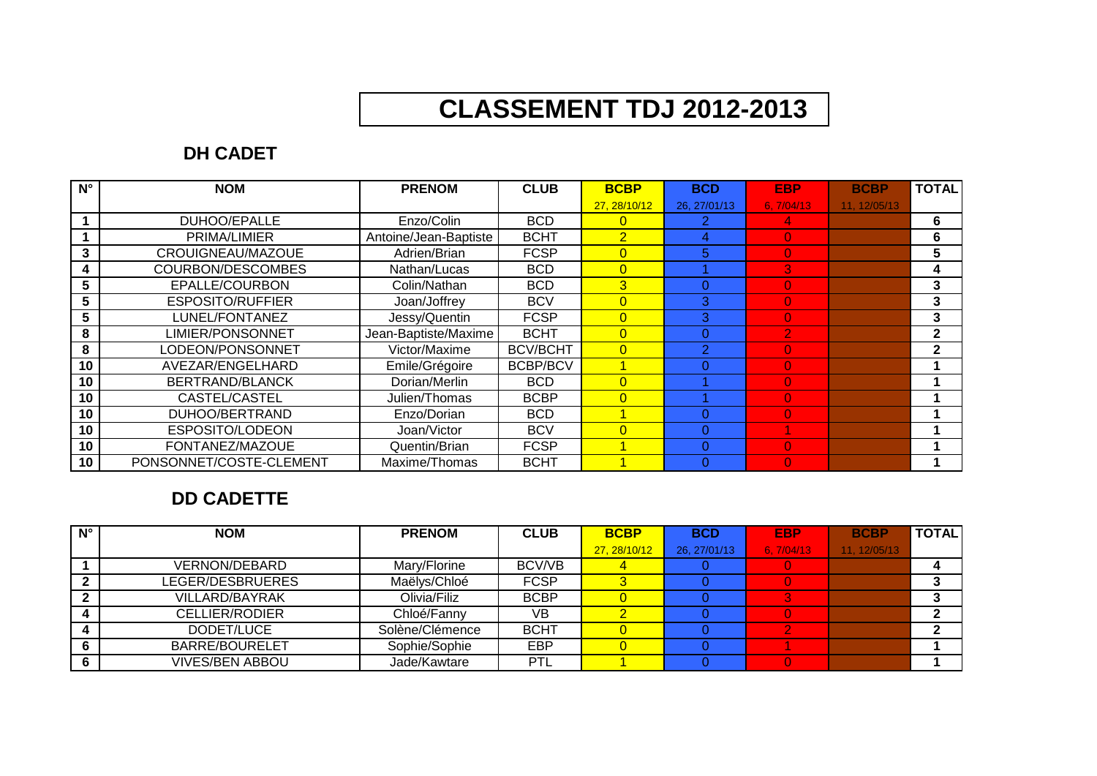# **CLASSEMENT TDJ 2012-2013**

# **DH CADET**

| $N^{\circ}$ | <b>NOM</b>              | <b>PRENOM</b>         | <b>CLUB</b>     | <b>BCBP</b>    | <b>BCD</b>   | <b>EBP</b>     | <b>BCBP</b>  | <b>TOTAL</b> |
|-------------|-------------------------|-----------------------|-----------------|----------------|--------------|----------------|--------------|--------------|
|             |                         |                       |                 | 27, 28/10/12   | 26, 27/01/13 | 6,7/04/13      | 11, 12/05/13 |              |
|             | DUHOO/EPALLE            | Enzo/Colin            | <b>BCD</b>      | $\overline{0}$ |              | 4              |              | 6            |
|             | PRIMA/LIMIER            | Antoine/Jean-Baptiste | <b>BCHT</b>     | $\overline{2}$ |              | $\overline{0}$ |              | 6            |
| 3           | CROUIGNEAU/MAZOUE       | Adrien/Brian          | <b>FCSP</b>     | $\overline{0}$ | 5            | $\overline{0}$ |              | 5            |
| 4           | COURBON/DESCOMBES       | Nathan/Lucas          | <b>BCD</b>      | $\overline{0}$ |              | 3              |              | 4            |
| 5           | EPALLE/COURBON          | Colin/Nathan          | <b>BCD</b>      | 3              |              | $\overline{0}$ |              | 3            |
| 5           | <b>ESPOSITO/RUFFIER</b> | Joan/Joffrey          | <b>BCV</b>      | $\overline{0}$ | з            | $\overline{0}$ |              | 3            |
| 5           | LUNEL/FONTANEZ          | Jessy/Quentin         | <b>FCSP</b>     | $\overline{0}$ | 3.           | $\overline{0}$ |              | 3            |
| 8           | <b>LIMIER/PONSONNET</b> | Jean-Baptiste/Maxime  | <b>BCHT</b>     | $\overline{0}$ |              | $\overline{2}$ |              | $\mathbf{2}$ |
| 8           | LODEON/PONSONNET        | Victor/Maxime         | <b>BCV/BCHT</b> | $\overline{0}$ |              | $\overline{0}$ |              | $\mathbf{2}$ |
| 10          | AVEZAR/ENGELHARD        | Emile/Grégoire        | <b>BCBP/BCV</b> |                |              | $\overline{0}$ |              |              |
| 10          | BERTRAND/BLANCK         | Dorian/Merlin         | <b>BCD</b>      | $\overline{0}$ |              | $\overline{0}$ |              |              |
| 10          | CASTEL/CASTEL           | Julien/Thomas         | <b>BCBP</b>     | $\overline{0}$ |              | $\overline{0}$ |              |              |
| 10          | DUHOO/BERTRAND          | Enzo/Dorian           | <b>BCD</b>      |                |              | $\Omega$       |              |              |
| 10          | ESPOSITO/LODEON         | Joan/Victor           | <b>BCV</b>      | $\overline{0}$ |              |                |              |              |
| 10          | FONTANEZ/MAZOUE         | Quentin/Brian         | <b>FCSP</b>     |                |              | $\Omega$       |              |              |
| 10          | PONSONNET/COSTE-CLEMENT | Maxime/Thomas         | <b>BCHT</b>     |                |              | $\Omega$       |              |              |

## **DD CADETTE**

| $N^{\circ}$ | <b>NOM</b>             | <b>PRENOM</b>   | <b>CLUB</b> | <b>BCBP</b>  | <b>BCD</b>   | <b>EBP</b> | <b>BCBP</b>  | <b>TOTAL</b> |
|-------------|------------------------|-----------------|-------------|--------------|--------------|------------|--------------|--------------|
|             |                        |                 |             | 27, 28/10/12 | 26, 27/01/13 | 6.7/04/13  | 11. 12/05/13 |              |
|             | <b>VERNON/DEBARD</b>   | Mary/Florine    | BCV/VB      |              |              |            |              |              |
|             | LEGER/DESBRUERES       | Maëlys/Chloé    | <b>FCSP</b> |              |              |            |              |              |
|             | <b>VILLARD/BAYRAK</b>  | Olivia/Filiz    | <b>BCBP</b> |              |              |            |              |              |
|             | <b>CELLIER/RODIER</b>  | Chloé/Fanny     | VB          |              |              |            |              |              |
|             | DODET/LUCE             | Solène/Clémence | <b>BCHT</b> |              |              |            |              |              |
|             | <b>BARRE/BOURELET</b>  | Sophie/Sophie   | EBP         |              |              |            |              |              |
|             | <b>VIVES/BEN ABBOU</b> | Jade/Kawtare    | <b>PTL</b>  |              |              |            |              |              |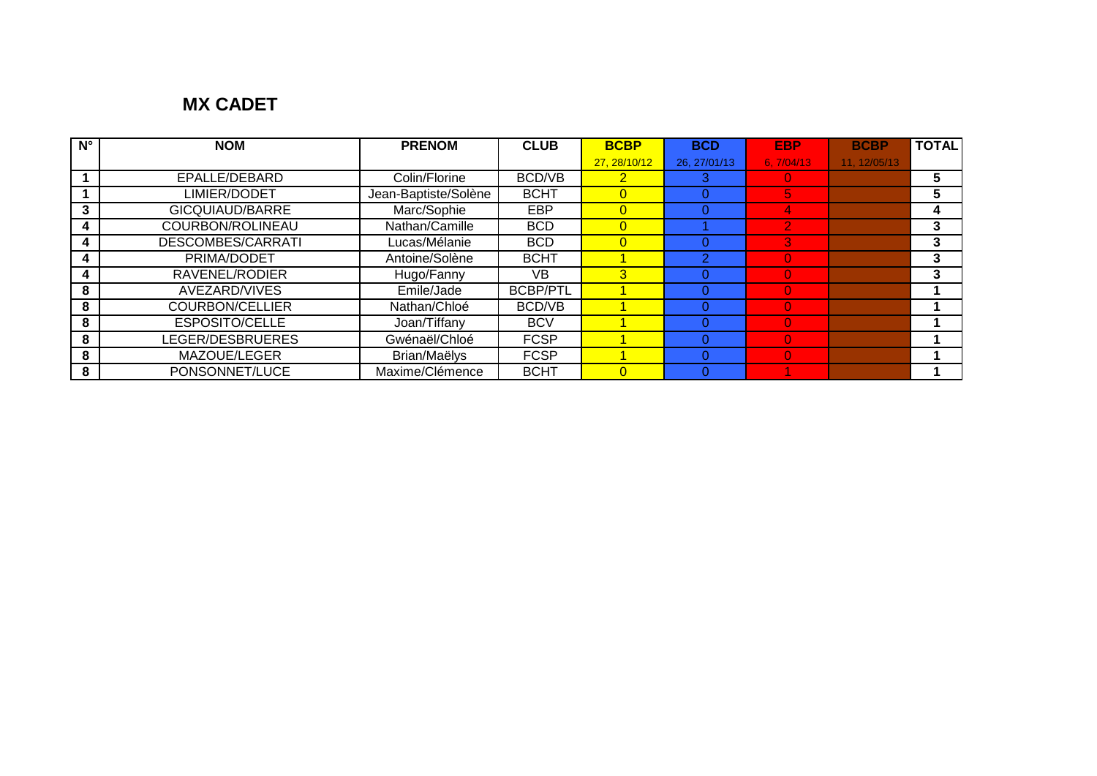# **MX CADET**

| $N^{\circ}$ | <b>NOM</b>             | <b>PRENOM</b>        | <b>CLUB</b>     | <b>BCBP</b>    | <b>BCD</b>   | <b>EBP</b> | <b>BCBP</b> | <b>TOTAL</b> |
|-------------|------------------------|----------------------|-----------------|----------------|--------------|------------|-------------|--------------|
|             |                        |                      |                 | 27, 28/10/12   | 26, 27/01/13 | 6.7/04/13  | 11.12/05/13 |              |
|             | EPALLE/DEBARD          | Colin/Florine        | BCD/VB          |                |              |            |             | 5            |
|             | LIMIER/DODET           | Jean-Baptiste/Solène | <b>BCHT</b>     | $\overline{0}$ |              | 5          |             | 5            |
| 3           | GICQUIAUD/BARRE        | Marc/Sophie          | <b>EBP</b>      | $\overline{0}$ |              | 4          |             | 4            |
|             | COURBON/ROLINEAU       | Nathan/Camille       | <b>BCD</b>      | $\overline{0}$ |              |            |             | 3            |
| 4           | DESCOMBES/CARRATI      | Lucas/Mélanie        | <b>BCD</b>      | $\Omega$       |              | 3          |             | 3            |
|             | PRIMA/DODET            | Antoine/Solène       | <b>BCHT</b>     |                |              |            |             | 3            |
|             | RAVENEL/RODIER         | Hugo/Fanny           | VB              | 3              |              | $\Omega$   |             | 3            |
| 8           | AVEZARD/VIVES          | Emile/Jade           | <b>BCBP/PTL</b> |                |              |            |             |              |
| 8           | <b>COURBON/CELLIER</b> | Nathan/Chloé         | BCD/VB          |                |              |            |             |              |
| 8           | <b>ESPOSITO/CELLE</b>  | Joan/Tiffany         | <b>BCV</b>      |                |              |            |             |              |
| 8           | LEGER/DESBRUERES       | Gwénaël/Chloé        | <b>FCSP</b>     |                |              |            |             |              |
| 8           | MAZOUE/LEGER           | Brian/Maëlys         | <b>FCSP</b>     |                |              |            |             |              |
| 8           | PONSONNET/LUCE         | Maxime/Clémence      | <b>BCHT</b>     | $\Omega$       |              |            |             |              |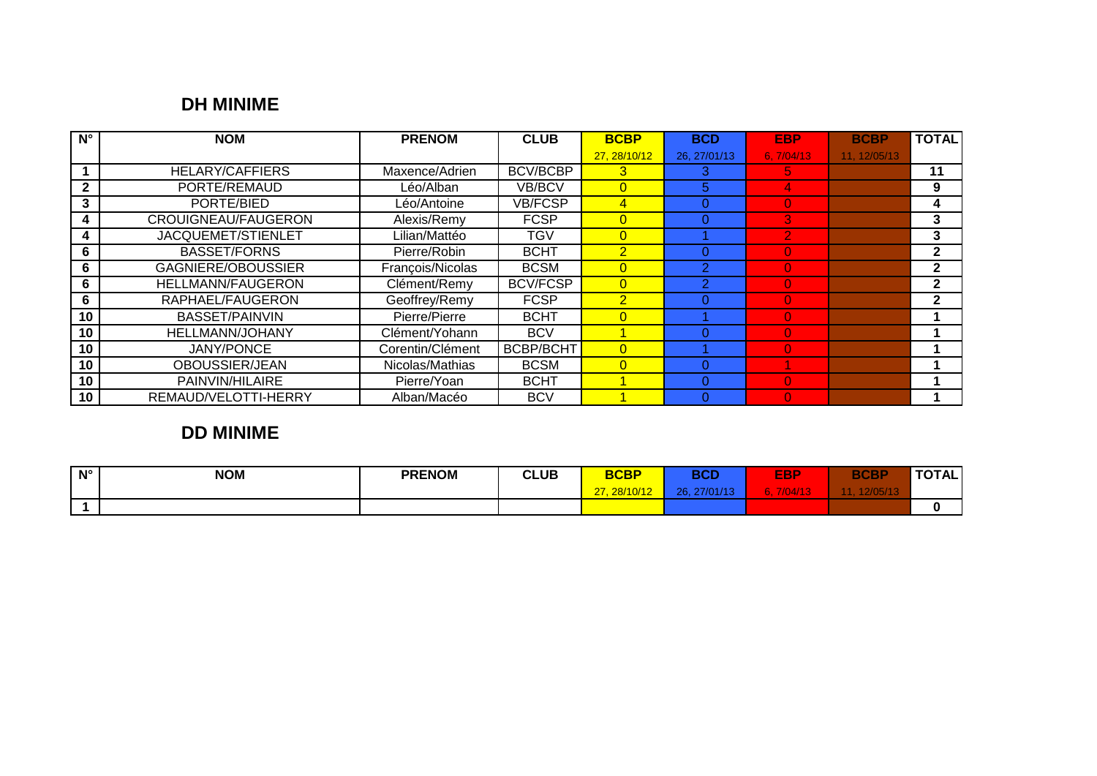## **DH MINIME**

| $N^{\circ}$  | <b>NOM</b>                 | <b>PRENOM</b>    | <b>CLUB</b>      | <b>BCBP</b>    | <b>BCD</b>     | <b>EBP</b>     | <b>BCBP</b>  | <b>TOTAL</b>   |
|--------------|----------------------------|------------------|------------------|----------------|----------------|----------------|--------------|----------------|
|              |                            |                  |                  | 27, 28/10/12   | 26, 27/01/13   | 6,7/04/13      | 11, 12/05/13 |                |
|              | <b>HELARY/CAFFIERS</b>     | Maxence/Adrien   | <b>BCV/BCBP</b>  | 3              |                | 5.             |              | 11             |
| $\mathbf{2}$ | PORTE/REMAUD               | Léo/Alban        | VB/BCV           | $\Omega$       | 5              | 4              |              | 9              |
| 3            | PORTE/BIED                 | Léo/Antoine      | <b>VB/FCSP</b>   | 4              |                | $\Omega$       |              | 4              |
| 4            | <b>CROUIGNEAU/FAUGERON</b> | Alexis/Remy      | <b>FCSP</b>      | $\overline{0}$ |                | 3              |              | 3              |
| 4            | JACQUEMET/STIENLET         | Lilian/Mattéo    | <b>TGV</b>       | $\Omega$       |                | 2              |              | 3              |
| 6            | <b>BASSET/FORNS</b>        | Pierre/Robin     | <b>BCHT</b>      | $\overline{2}$ |                | 0              |              | $\mathbf{2}$   |
| 6            | <b>GAGNIERE/OBOUSSIER</b>  | François/Nicolas | <b>BCSM</b>      | $\Omega$       | $\overline{2}$ | $\Omega$       |              | $\overline{2}$ |
| 6            | <b>HELLMANN/FAUGERON</b>   | Clément/Remy     | <b>BCV/FCSP</b>  | $\overline{0}$ |                | $\overline{0}$ |              | $\mathbf{2}$   |
| 6            | RAPHAEL/FAUGERON           | Geoffrey/Remy    | <b>FCSP</b>      | $\overline{2}$ |                | $\Omega$       |              | $\mathbf{2}$   |
| 10           | <b>BASSET/PAINVIN</b>      | Pierre/Pierre    | <b>BCHT</b>      | $\Omega$       |                | $\Omega$       |              |                |
| 10           | <b>HELLMANN/JOHANY</b>     | Clément/Yohann   | <b>BCV</b>       |                |                | $\Omega$       |              |                |
| 10           | <b>JANY/PONCE</b>          | Corentin/Clément | <b>BCBP/BCHT</b> | $\Omega$       |                | $\Omega$       |              |                |
| 10           | OBOUSSIER/JEAN             | Nicolas/Mathias  | <b>BCSM</b>      | $\Omega$       |                |                |              |                |
| 10           | PAINVIN/HILAIRE            | Pierre/Yoan      | <b>BCHT</b>      |                |                | $\Omega$       |              |                |
| 10           | REMAUD/VELOTTI-HERRY       | Alban/Macéo      | <b>BCV</b>       |                |                | $\Omega$       |              |                |

# **DD MINIME**

| $N^{\circ}$ | <b>NOM</b> | <b>PRENOM</b> | <b>CLUB</b> | <b>BCBP</b>               | <b>BCD</b> | <b>EBP</b> | <b>BCBP</b> | <b>TOTAL</b> |
|-------------|------------|---------------|-------------|---------------------------|------------|------------|-------------|--------------|
|             |            |               |             | $00/40/40$<br>07<br>IU/IZ | nn.        |            |             |              |
|             |            |               |             |                           |            |            |             |              |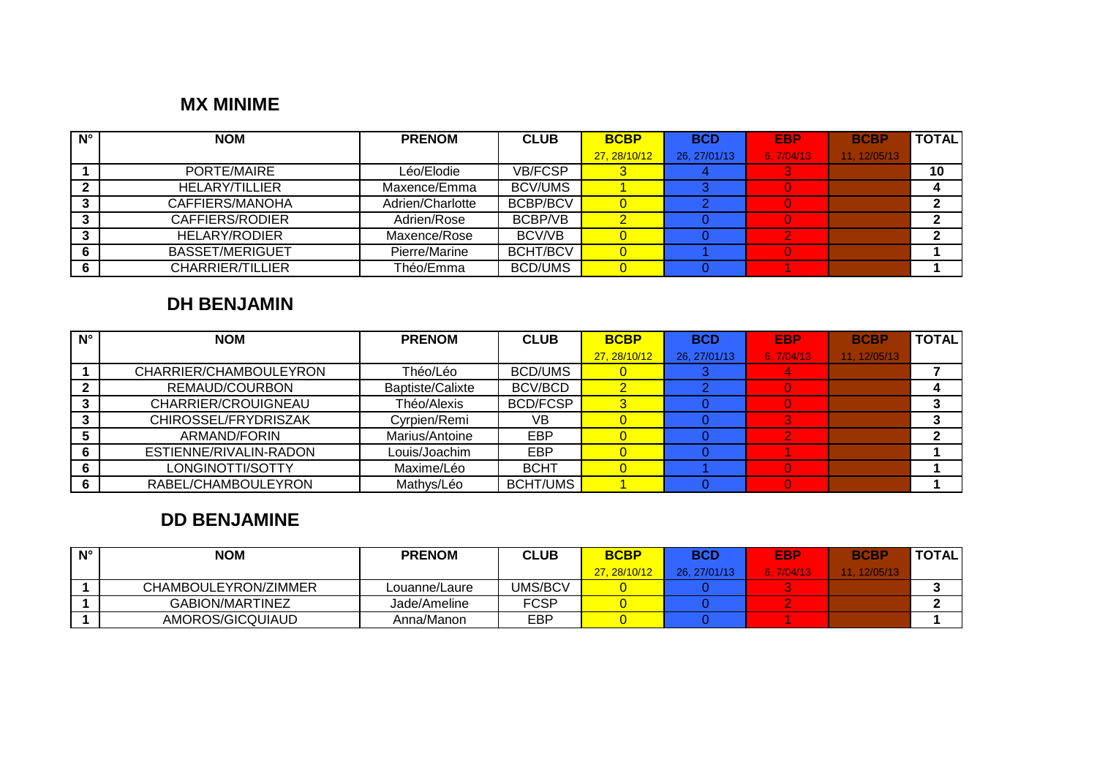#### **MX MINIME**

| $N^{\circ}$ | <b>NOM</b>              | <b>PRENOM</b>    | <b>CLUB</b>     | <b>BCBP</b>  | <b>BCD</b>   | <b>EBP</b> | <b>BCBP</b>  | <b>TOTAL</b> |
|-------------|-------------------------|------------------|-----------------|--------------|--------------|------------|--------------|--------------|
|             |                         |                  |                 | 27, 28/10/12 | 26, 27/01/13 | 6, 7/04/13 | 11, 12/05/13 |              |
|             | PORTE/MAIRE             | Léo/Elodie       | <b>VB/FCSP</b>  |              |              |            |              | 10           |
|             | HELARY/TILLIER          | Maxence/Emma     | <b>BCV/UMS</b>  |              |              |            |              |              |
|             | CAFFIERS/MANOHA         | Adrien/Charlotte | <b>BCBP/BCV</b> |              |              |            |              |              |
|             | CAFFIERS/RODIER         | Adrien/Rose      | BCBP/VB         |              |              |            |              |              |
|             | HELARY/RODIER           | Maxence/Rose     | BCV/VB          |              |              |            |              |              |
|             | <b>BASSET/MERIGUET</b>  | Pierre/Marine    | <b>BCHT/BCV</b> |              |              |            |              |              |
|             | <b>CHARRIER/TILLIER</b> | Théo/Emma        | <b>BCD/UMS</b>  |              |              |            |              |              |

#### **DH BENJAMIN**

| $N^{\circ}$ | <b>NOM</b>             | <b>PRENOM</b>    | <b>CLUB</b>     | <b>BCBP</b>  | <b>BCD</b>   | <b>EBP</b> | <b>BCBP</b>  | <b>TOTAL</b> |
|-------------|------------------------|------------------|-----------------|--------------|--------------|------------|--------------|--------------|
|             |                        |                  |                 | 27, 28/10/12 | 26, 27/01/13 | 6, 7/04/13 | 11, 12/05/13 |              |
|             | CHARRIER/CHAMBOULEYRON | Théo/Léo         | <b>BCD/UMS</b>  |              |              |            |              |              |
|             | REMAUD/COURBON         | Baptiste/Calixte | <b>BCV/BCD</b>  |              |              |            |              |              |
|             | CHARRIER/CROUIGNEAU    | Théo/Alexis      | <b>BCD/FCSP</b> |              |              |            |              |              |
|             | CHIROSSEL/FRYDRISZAK   | Cyrpien/Remi     | VВ              |              |              |            |              |              |
|             | ARMAND/FORIN           | Marius/Antoine   | EBP             |              |              |            |              |              |
|             | ESTIENNE/RIVALIN-RADON | Louis/Joachim    | EBP             |              |              |            |              |              |
|             | LONGINOTTI/SOTTY       | Maxime/Léo       | <b>BCHT</b>     |              |              |            |              |              |
|             | RABEL/CHAMBOULEYRON    | Mathys/Léo       | <b>BCHT/UMS</b> |              |              |            |              |              |

# **DD BENJAMINE**

| $N^{\circ}$ | <b>NOM</b>           | <b>PRENOM</b> | <b>CLUB</b> | <b>BCBP</b> | BCD         | EBP       | <b>BCBP</b> | TOTAL. |
|-------------|----------------------|---------------|-------------|-------------|-------------|-----------|-------------|--------|
|             |                      |               |             | 27.28/10/12 | 26.27/01/13 | 6.7/04/13 | 11.12/05/13 |        |
|             | CHAMBOULEYRON/ZIMMER | Louanne/Laure | UMS/BCV     |             |             |           |             |        |
|             | GABION/MARTINEZ      | Jade/Ameline  | <b>FCSP</b> |             |             |           |             |        |
|             | AMOROS/GICQUIAUD     | Anna/Manon    | EBP         |             |             |           |             |        |